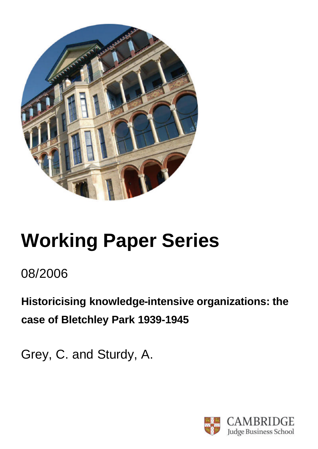

# **Working Paper Series**

08/2006

**Historicising knowledge-intensive organizations: the case of Bletchley Park 1939-1945**

Grey, C. and Sturdy, A.

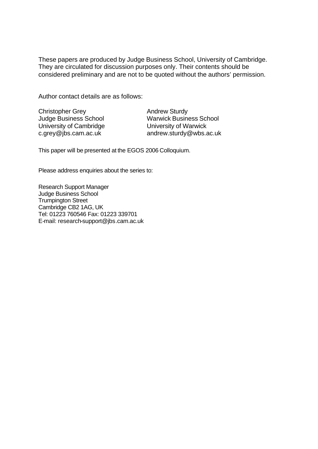These papers are produced by Judge Business School, University of Cambridge. They are circulated for discussion purposes only. Their contents should be considered preliminary and are not to be quoted without the authors' permission.

Author contact details are as follows:

Christopher Grey Judge Business School University of Cambridge c.grey@jbs.cam.ac.uk

Andrew Sturdy Warwick Business School University of Warwick andrew.sturdy@wbs.ac.uk

This paper will be presented at the EGOS 2006 Colloquium.

Please address enquiries about the series to:

Research Support Manager Judge Business School Trumpington Street Cambridge CB2 1AG, UK Tel: 01223 760546 Fax: 01223 339701 E-mail: research-support@jbs.cam.ac.uk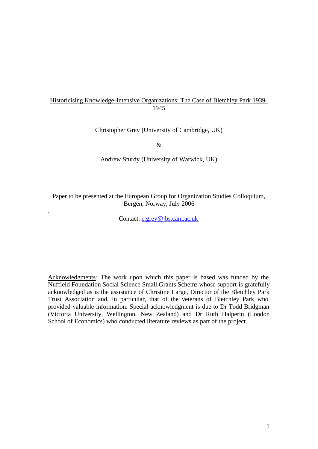# Historicising Knowledge-Intensive Organizations: The Case of Bletchley Park 1939- 1945

Christopher Grey (University of Cambridge, UK)

&

Andrew Sturdy (University of Warwick, UK)

Paper to be presented at the European Group for Organization Studies Colloquium, Bergen, Norway, July 2006

Contact: c.grey@jbs.cam.ac.uk

.

Acknowledgments: The work upon which this paper is based was funded by the Nuffield Foundation Social Science Small Grants Scheme whose support is gratefully acknowledged as is the assistance of Christine Large, Director of the Bletchley Park Trust Association and, in particular, that of the veterans of Bletchley Park who provided valuable information. Special acknowledgment is due to Dr Todd Bridgman (Victoria University, Wellington, New Zealand) and Dr Ruth Halperin (London School of Economics) who conducted literature reviews as part of the project.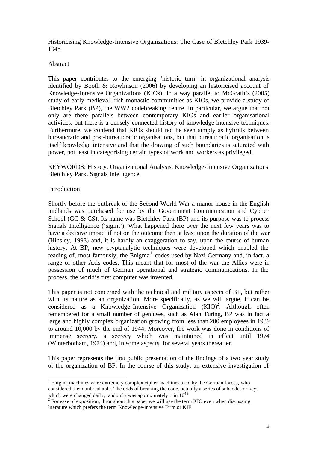## Historicising Knowledge-Intensive Organizations: The Case of Bletchley Park 1939- 1945

# Abstract

This paper contributes to the emerging 'historic turn' in organizational analysis identified by Booth & Rowlinson (2006) by developing an historicised account of Knowledge-Intensive Organizations (KIOs). In a way parallel to McGrath's (2005) study of early medieval Irish monastic communities as KIOs, we provide a study of Bletchley Park (BP), the WW2 codebreaking centre. In particular, we argue that not only are there parallels between contemporary KIOs and earlier organisational activities, but there is a densely connected history of knowledge intensive techniques. Furthermore, we contend that KIOs should not be seen simply as hybrids between bureaucratic and post-bureaucratic organisations, but that bureaucratic organisation is itself knowledge intensive and that the drawing of such boundaries is saturated with power, not least in categorising certain types of work and workers as privileged.

KEYWORDS: History. Organizational Analysis. Knowledge-Intensive Organizations. Bletchley Park. Signals Intelligence.

# Introduction

l

Shortly before the outbreak of the Second World War a manor house in the English midlands was purchased for use by the Government Communication and Cypher School (GC & CS). Its name was Bletchley Park (BP) and its purpose was to process Signals Intelligence ('sigint'). What happened there over the next few years was to have a decisive impact if not on the outcome then at least upon the duration of the war (Hinsley, 1993) and, it is hardly an exaggeration to say, upon the course of human history. At BP, new cryptanalytic techniques were developed which enabled the reading of, most famously, the Enigma<sup>1</sup> codes used by Nazi Germany and, in fact, a range of other Axis codes. This meant that for most of the war the Allies were in possession of much of German operational and strategic communications. In the process, the world's first computer was invented.

This paper is not concerned with the technical and military aspects of BP, but rather with its nature as an organization. More specifically, as we will argue, it can be considered as a Knowledge-Intensive Organization  $(KIO)^2$ . Although often remembered for a small number of geniuses, such as Alan Turing, BP was in fact a large and highly complex organization growing from less than 200 employees in 1939 to around 10,000 by the end of 1944. Moreover, the work was done in conditions of immense secrecy, a secrecy which was maintained in effect until 1974 (Winterbotham, 1974) and, in some aspects, for several years thereafter.

This paper represents the first public presentation of the findings of a two year study of the organization of BP. In the course of this study, an extensive investigation of

 $<sup>1</sup>$  Enigma machines were extremely complex cipher machines used by the German forces, who</sup> considered them unbreakable. The odds of breaking the code, actually a series of subcodes or keys which were changed daily, randomly was approximately 1 in  $10^{48}$ 

 $2^2$  For ease of exposition, throughout this paper we will use the term KIO even when discussing literature which prefers the term Knowledge-intensive Firm or KIF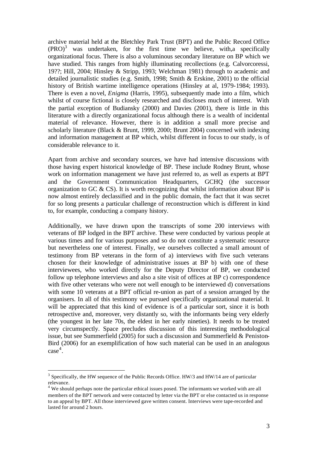archive material held at the Bletchley Park Trust (BPT) and the Public Record Office  $(PRO)^3$  was undertaken, for the first time we believe, with,a specifically organizational focus. There is also a voluminous secondary literature on BP which we have studied. This ranges from highly illuminating recollections (e.g. Calvorcoressi, 19??; Hill, 2004; Hinsley & Stripp, 1993; Welchman 1981) through to academic and detailed journalistic studies (e.g. Smith, 1998; Smith & Erskine, 2001) to the official history of British wartime intelligence operations (Hinsley at al, 1979-1984; 1993). There is even a novel, *Enigma* (Harris, 1995), subsequently made into a film, which whilst of course fictional is closely researched and discloses much of interest. With the partial exception of Budiansky (2000) and Davies (2001), there is little in this literature with a directly organizational focus although there is a wealth of incidental material of relevance. However, there is in addition a small more precise and scholarly literature (Black & Brunt, 1999, 2000; Brunt 2004) concerned with indexing and information management at BP which, whilst different in focus to our study, is of considerable relevance to it.

Apart from archive and secondary sources, we have had intensive discussions with those having expert historical knowledge of BP. These include Rodney Brunt, whose work on information management we have just referred to, as well as experts at BPT and the Government Communication Headquarters, GCHQ (the successor organization to GC  $\&$  CS). It is worth recognizing that whilst information about BP is now almost entirely declassified and in the public domain, the fact that it was secret for so long presents a particular challenge of reconstruction which is different in kind to, for example, conducting a company history.

Additionally, we have drawn upon the transcripts of some 200 interviews with veterans of BP lodged in the BPT archive. These were conducted by various people at various times and for various purposes and so do not constitute a systematic resource but nevertheless one of interest. Finally, we ourselves collected a small amount of testimony from BP veterans in the form of a) interviews with five such veterans chosen for their knowledge of administrative issues at BP b) with one of these interviewees, who worked directly for the Deputy Director of BP, we conducted follow up telephone interviews and also a site visit of offices at BP c) correspondence with five other veterans who were not well enough to be interviewed d) conversations with some 10 veterans at a BPT official re-union as part of a session arranged by the organisers. In all of this testimony we pursued specifically organizational material. It will be appreciated that this kind of evidence is of a particular sort, since it is both retrospective and, moreover, very distantly so, with the informants being very elderly (the youngest in her late 70s, the eldest in her early nineties). It needs to be treated very circumspectly. Space precludes discussion of this interesting methodological issue, but see Summerfield (2005) for such a discussion and Summerfield & Peniston-Bird (2006) for an exemplification of how such material can be used in an analogous  $case<sup>4</sup>$ .

<sup>&</sup>lt;sup>3</sup> Specifically, the HW sequence of the Public Records Office. HW/3 and HW/14 are of particular relevance.

<sup>&</sup>lt;sup>4</sup> We should perhaps note the particular ethical issues posed. The informants we worked with are all members of the BPT network and were contacted by letter via the BPT or else contacted us in response to an appeal by BPT. All those interviewed gave written consent. Interviews were tape-recorded and lasted for around 2 hours.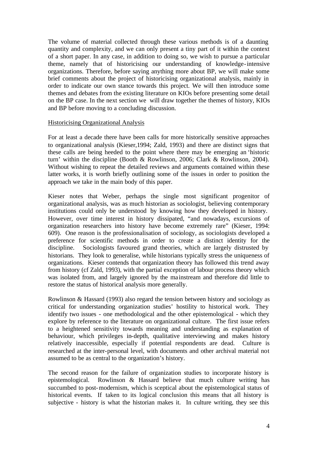The volume of material collected through these various methods is of a daunting quantity and complexity, and we can only present a tiny part of it within the context of a short paper. In any case, in addition to doing so, we wish to pursue a particular theme, namely that of historicising our understanding of knowledge-intensive organizations. Therefore, before saying anything more about BP, we will make some brief comments about the project of historicising organizational analysis, mainly in order to indicate our own stance towards this project. We will then introduce some themes and debates from the existing literature on KIOs before presenting some detail on the BP case. In the next section we will draw together the themes of history, KIOs and BP before moving to a concluding discussion.

#### Historicising Organizational Analysis

For at least a decade there have been calls for more historically sensitive approaches to organizational analysis (Kieser,1994; Zald, 1993) and there are distinct signs that these calls are being heeded to the point where there may be emerging an 'historic turn' within the discipline (Booth & Rowlinson, 2006; Clark & Rowlinson, 2004). Without wishing to repeat the detailed reviews and arguments contained within these latter works, it is worth briefly outlining some of the issues in order to position the approach we take in the main body of this paper.

Kieser notes that Weber, perhaps the single most significant progenitor of organizational analysis, was as much historian as sociologist, believing contemporary institutions could only be understood by knowing how they developed in history. However, over time interest in history dissipated, "and nowadays, excursions of organization researchers into history have become extremely rare" (Kieser, 1994: 609). One reason is the professionalisation of sociology, as sociologists developed a preference for scientific methods in order to create a distinct identity for the discipline. Sociologists favoured grand theories, which are largely distrusted by historians. They look to generalise, while historians typically stress the uniqueness of organizations. Kieser contends that organization theory has followed this trend away from history (cf Zald, 1993), with the partial exception of labour process theory which was isolated from, and largely ignored by the mainstream and therefore did little to restore the status of historical analysis more generally.

Rowlinson & Hassard (1993) also regard the tension between history and sociology as critical for understanding organization studies' hostility to historical work. They identify two issues - one methodological and the other epistemological - which they explore by reference to the literature on organizational culture. The first issue refers to a heightened sensitivity towards meaning and understanding as explanation of behaviour, which privileges in-depth, qualitative interviewing and makes history relatively inaccessible, especially if potential respondents are dead. Culture is researched at the inter-personal level, with documents and other archival material not assumed to be as central to the organization's history.

The second reason for the failure of organization studies to incorporate history is epistemological. Rowlinson & Hassard believe that much culture writing has succumbed to post-modernism, which is sceptical about the epistemological status of historical events. If taken to its logical conclusion this means that all history is subjective - history is what the historian makes it. In culture writing, they see this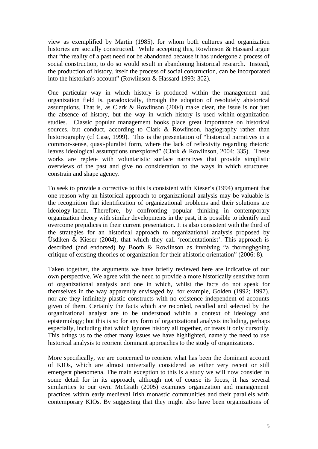view as exemplified by Martin (1985), for whom both cultures and organization histories are socially constructed. While accepting this, Rowlinson & Hassard argue that "the reality of a past need not be abandoned because it has undergone a process of social construction, to do so would result in abandoning historical research. Instead, the production of history, itself the process of social construction, can be incorporated into the historian's account" (Rowlinson & Hassard 1993: 302).

One particular way in which history is produced within the management and organization field is, paradoxically, through the adoption of resolutely ahistorical assumptions. That is, as Clark & Rowlinson (2004) make clear, the issue is not just the absence of history, but the way in which history is used within organization studies. Classic popular management books place great importance on historical sources, but conduct, according to Clark & Rowlinson, hagiography rather than historiography (cf Case, 1999). This is the presentation of "historical narratives in a common-sense, quasi-pluralist form, where the lack of reflexivity regarding rhetoric leaves ideological assumptions unexplored" (Clark & Rowlinson, 2004: 335). These works are replete with voluntaristic surface narratives that provide simplistic overviews of the past and give no consideration to the ways in which structures constrain and shape agency.

To seek to provide a corrective to this is consistent with Kieser's (1994) argument that one reason why an historical approach to organizational analysis may be valuable is the recognition that identification of organizational problems and their solutions are ideology-laden. Therefore, by confronting popular thinking in contemporary organization theory with similar developments in the past, it is possible to identify and overcome prejudices in their current presentation. It is also consistent with the third of the strategies for an historical approach to organizational analysis proposed by Üsdiken & Kieser (2004), that which they call 'reorientationist'. This approach is described (and endorsed) by Booth & Rowlinson as involving "a thoroughgoing critique of existing theories of organization for their ahistoric orientation" (2006: 8).

Taken together, the arguments we have briefly reviewed here are indicative of our own perspective. We agree with the need to provide a more historically sensitive form of organizational analysis and one in which, whilst the facts do not speak for themselves in the way apparently envisaged by, for example, Golden (1992; 1997), nor are they infinitely plastic constructs with no existence independent of accounts given of them. Certainly the facts which are recorded, recalled and selected by the organizational analyst are to be understood within a context of ideology and epistemology; but this is so for any form of organizational analysis including, perhaps especially, including that which ignores history all together, or treats it only cursorily. This brings us to the other many issues we have highlighted, namely the need to use historical analysis to reorient dominant approaches to the study of organizations.

More specifically, we are concerned to reorient what has been the dominant account of KIOs, which are almost universally considered as either very recent or still emergent phenomena. The main exception to this is a study we will now consider in some detail for in its approach, although not of course its focus, it has several similarities to our own. McGrath (2005) examines organization and management practices within early medieval Irish monastic communities and their parallels with contemporary KIOs. By suggesting that they might also have been organizations of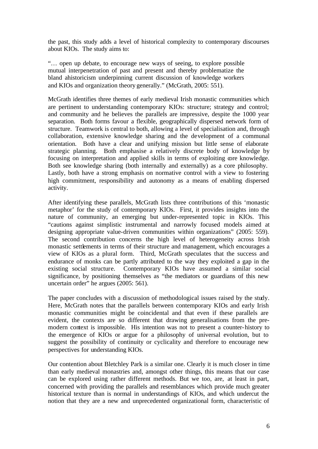the past, this study adds a level of historical complexity to contemporary discourses about KIOs. The study aims to:

"… open up debate, to encourage new ways of seeing, to explore possible mutual interpenetration of past and present and thereby problematize the bland ahistoricism underpinning current discussion of knowledge workers and KIOs and organization theory generally." (McGrath, 2005: 551).

McGrath identifies three themes of early medieval Irish monastic communities which are pertinent to understanding contemporary KIOs: structure; strategy and control; and community and he believes the parallels are impressive, despite the 1000 year separation. Both forms favour a flexible, geographically dispersed network form of structure. Teamwork is central to both, allowing a level of specialisation and, through collaboration, extensive knowledge sharing and the development of a communal orientation. Both have a clear and unifying mission but little sense of elaborate strategic planning. Both emphasise a relatively discrete body of knowledge by focusing on interpretation and applied skills in terms of exploiting ore knowledge. Both see knowledge sharing (both internally and externally) as a core philosophy. Lastly, both have a strong emphasis on normative control with a view to fostering high commitment, responsibility and autonomy as a means of enabling dispersed activity.

After identifying these parallels, McGrath lists three contributions of this 'monastic metaphor' for the study of contemporary KIOs. First, it provides insights into the nature of community, an emerging but under-represented topic in KIOs. This "cautions against simplistic instrumental and narrowly focused models aimed at designing appropriate value-driven communities within organizations" (2005: 559). The second contribution concerns the high level of heterogeneity across Irish monastic settlements in terms of their structure and management, which encourages a view of KIOs as a plural form. Third, McGrath speculates that the success and endurance of monks can be partly attributed to the way they exploited a gap in the existing social structure. Contemporary KIOs have assumed a similar social significance, by positioning themselves as "the mediators or guardians of this new uncertain order" he argues (2005: 561).

The paper concludes with a discussion of methodological issues raised by the study. Here, McGrath notes that the parallels between contemporary KIOs and early Irish monastic communities might be coincidental and that even if these parallels are evident, the contexts are so different that drawing generalisations from the premodern context is impossible. His intention was not to present a counter-history to the emergence of KIOs or argue for a philosophy of universal evolution, but to suggest the possibility of continuity or cyclicality and therefore to encourage new perspectives for understanding KIOs.

Our contention about Bletchley Park is a similar one. Clearly it is much closer in time than early medieval monastries and, amongst other things, this means that our case can be explored using rather different methods. But we too, are, at least in part, concerned with providing the parallels and resemblances which provide much greater historical texture than is normal in understandings of KIOs, and which undercut the notion that they are a new and unprecedented organizational form, characteristic of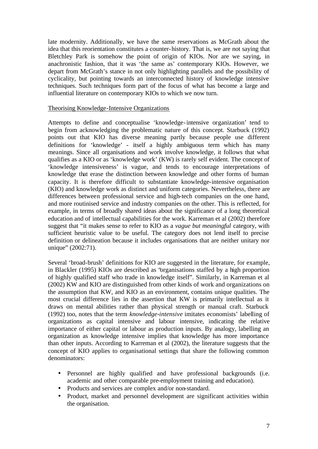late modernity. Additionally, we have the same reservations as McGrath about the idea that this reorientation constitutes a counter-history. That is, we are not saying that Bletchley Park is somehow the point of origin of KIOs. Nor are we saying, in anachronistic fashion, that it was 'the same as' contemporary KIOs. However, we depart from McGrath's stance in not only highlighting parallels and the possibility of cyclicality, but pointing towards an interconnected history of knowledge intensive techniques. Such techniques form part of the focus of what has become a large and influential literature on contemporary KIOs to which we now turn.

#### Theorising Knowledge-Intensive Organizations

Attempts to define and conceptualise 'knowledge-intensive organization' tend to begin from acknowledging the problematic nature of this concept. Starbuck (1992) points out that KIO has diverse meaning partly because people use different definitions for 'knowledge' - itself a highly ambiguous term which has many meanings. Since all organisations and work involve knowledge, it follows that what qualifies as a KIO or as 'knowledge work' (KW) is rarely self evident. The concept of 'knowledge intensiveness' is vague, and tends to encourage interpretations of knowledge that erase the distinction between knowledge and other forms of human capacity. It is therefore difficult to substantiate knowledge-intensive organisation (KIO) and knowledge work as distinct and uniform categories. Nevertheless, there are differences between professional service and high-tech companies on the one hand, and more routinised service and industry companies on the other. This is reflected, for example, in terms of broadly shared ideas about the significance of a long theoretical education and of intellectual capabilities for the work. Karreman et al (2002) therefore suggest that "it makes sense to refer to KIO as a *vague but meaningful* category, with sufficient heuristic value to be useful. The category does not lend itself to precise definition or delineation because it includes organisations that are neither unitary nor unique" (2002:71).

Several 'broad-brush' definitions for KIO are suggested in the literature, for example, in Blackler (1995) KIOs are described as "organisations staffed by a high proportion of highly qualified staff who trade in knowledge itself". Similarly, in Karreman et al (2002) KW and KIO are distinguished from other kinds of work and organizations on the assumption that KW, and KIO as an environment, contains unique qualities. The most crucial difference lies in the assertion that KW is primarily intellectual as it draws on mental abilities rather than physical strength or manual craft. Starbuck (1992) too, notes that the term *knowledge-intensive* imitates economists' labelling of organizations as capital intensive and labour intensive, indicating the relative importance of either capital or labour as production inputs. By analogy, labelling an organization as knowledge intensive implies that knowledge has more importance than other inputs. According to Karreman et al (2002), the literature suggests that the concept of KIO applies to organisational settings that share the following common denominators:

- Personnel are highly qualified and have professional backgrounds (i.e. academic and other comparable pre-employment training and education).
- Products and services are complex and/or non-standard.
- Product, market and personnel development are significant activities within the organisation.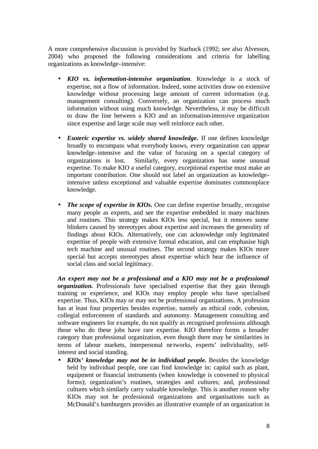A more comprehensive discussion is provided by Starbuck (1992; see also Alvesson, 2004) who proposed the following considerations and criteria for labelling organizations as knowledge-intensive:

- *KIO vs. information-intensive organization.* Knowledge is a stock of expertise, not a flow of information. Indeed, some activities draw on extensive knowledge without processing large amount of current information (e.g. management consulting). Conversely, an organization can process much information without using much knowledge. Nevertheless, it may be difficult to draw the line between a KIO and an information-intensive organization since expertise and large scale may well reinforce each other.
- *Esoteric expertise vs. widely shared knowledge.* If one defines knowledge broadly to encompass what everybody knows, every organization can appear knowledge-intensive and the value of focusing on a special category of organizations is lost. Similarly, every organization has some unusual expertise. To make KIO a useful category, exceptional expertise must make an important contribution. One should not label an organization as knowledgeintensive unless exceptional and valuable expertise dominates commonplace knowledge.
- *The scope of expertise in KIOs.* One can define expertise broadly, recognise many people as experts, and see the expertise embedded in many machines and routines. This strategy makes KIOs less special, but it removes some blinkers caused by stereotypes about expertise and increases the generality of findings about KIOs. Alternatively, one can acknowledge only legitimated expertise of people with extensive formal education, and can emphasise high tech machine and unusual routines. The second strategy makes KIOs more special but accepts stereotypes about expertise which bear the influence of social class and social legitimacy.

*An expert may not be a professional and a KIO may not be a professional organization.* Professionals have specialised expertise that they gain through training or experience, and KIOs may employ people who have specialised expertise. Thus, KIOs may or may not be professional organizations. A profession has at least four properties besides expertise, namely an ethical code, cohesion, collegial enforcement of standards and autonomy. Management consulting and software engineers for example, do not qualify as recognised professions although those who do these jobs have rare expertise. KIO therefore forms a broader category than professional organization, even though there may be similarities in terms of labour markets, interpersonal ne tworks, experts' individuality, selfinterest and social standing.

• *KIOs' knowledge may not be in individual people.* Besides the knowledge held by individual people, one can find knowledge in: capital such as plant, equipment or financial instruments (when knowledge is convened to physical forms); organization's routines, strategies and cultures; and, professional cultures which similarly carry valuable knowledge. This is another reason why KIOs may not be professional organizations and organisations such as McDonald's hamburgers provides an illustrative example of an organization in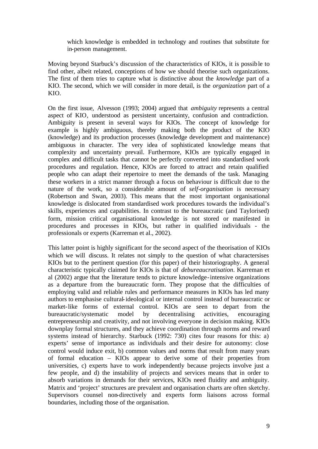which knowledge is embedded in technology and routines that substitute for in-person management.

Moving beyond Starbuck's discussion of the characteristics of KIOs, it is possible to find other, albeit related, conceptions of how we should theorise such organizations. The first of them tries to capture what is distinctive about the *knowledge* part of a KIO. The second, which we will consider in more detail, is the *organization* part of a KIO.

On the first issue, Alvesson (1993; 2004) argued that *ambiguity* represents a central aspect of KIO*,* understood as persistent uncertainty, confusion and contradiction. Ambiguity is present in several ways for KIOs. The concept of knowledge for example is highly ambiguous, thereby making both the product of the KIO (knowledge) and its production processes (knowledge development and maintenance) ambiguous in character. The very idea of sophisticated knowledge means that complexity and uncertainty prevail. Furthermore, KIOs are typically engaged in complex and difficult tasks that cannot be perfectly converted into standardised work procedures and regulation. Hence, KIOs are forced to attract and retain qualified people who can adapt their repertoire to meet the demands of the task. Managing these workers in a strict manner through a focus on behaviour is difficult due to the nature of the work, so a considerable amount of *self-organisation* is necessary (Robertson and Swan, 2003). This means that the most important organisational knowledge is dislocated from standardised work procedures towards the individual's skills, experiences and capabilities. In contrast to the bureaucratic (and Taylorised) form, mission critical organisational knowledge is not stored or manifested in procedures and processes in KIOs, but rather in qualified individuals - the professionals or experts (Karreman et al., 2002).

This latter point is highly significant for the second aspect of the theorisation of KIOs which we will discuss. It relates not simply to the question of what charactersises KIOs but to the pertinent question (for this paper) of their historiography. A general characteristic typically claimed for KIOs is that of *debureaucratisation*. Karreman et al (2002) argue that the literature tends to picture knowledge-intensive organizations as a departure from the bureaucratic form. They propose that the difficulties of employing valid and reliable rules and performance measures in KIOs has led many authors to emphasise cultural-ideological or internal control instead of bureaucratic or market-like forms of external control. KIOs are seen to depart from the bureaucratic/systematic model by decentralising activities, encouraging entrepreneurship and creativity, and not involving everyone in decision making. KIOs downplay formal structures, and they achieve coordination through norms and reward systems instead of hierarchy. Starbuck (1992: 730) cites four reasons for this: a) experts' sense of importance as individuals and their desire for autonomy: close control would induce exit, b) common values and norms that result from many years of formal education – KIOs appear to derive some of their properties from universities, c) experts have to work independently because projects involve just a few people, and d) the instability of projects and services means that in order to absorb variations in demands for their services, KIOs need fluidity and ambiguity. Matrix and 'project' structures are prevalent and organisation charts are often sketchy. Supervisors counsel non-directively and experts form liaisons across formal boundaries, including those of the organisation.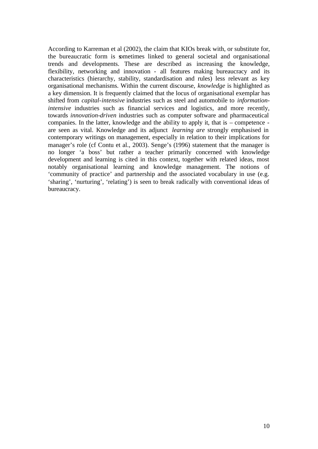According to Karreman et al (2002), the claim that KIOs break with, or substitute for, the bureaucratic form is sometimes linked to general societal and organisational trends and developments. These are described as increasing the knowledge, flexibility, networking and innovation - all features making bureaucracy and its characteristics (hierarchy, stability, standardisation and rules) less relevant as key organisational mechanisms. Within the current discourse, *knowledge* is highlighted as a key dimension. It is frequently claimed that the locus of organisational exemplar has shifted from *capital-intensive* industries such as steel and automobile to *informationintensive* industries such as financial services and logistics, and more recently, towards *innovation-driven* industries such as computer software and pharmaceutical companies. In the latter, knowledge and the ability to apply it, that is – competence are seen as vital. Knowledge and its adjunct *learning are* strongly emphasised in contemporary writings on management, especially in relation to their implications for manager's role (cf Contu et al., 2003). Senge's (1996) statement that the manager is no longer 'a boss' but rather a teacher primarily concerned with knowledge development and learning is cited in this context, together with related ideas, most notably organisational learning and knowledge management. The notions of 'community of practice' and partnership and the associated vocabulary in use (e.g. 'sharing', 'nurturing', 'relating') is seen to break radically with conventional ideas of bureaucracy.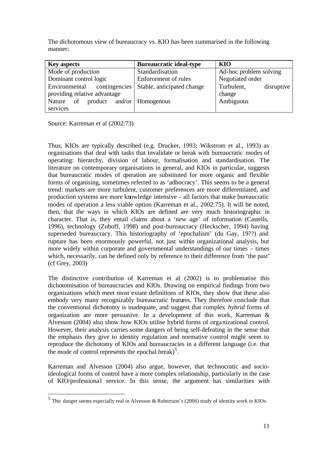The dichotomous view of bureaucracy vs. KIO has been summarised in the following manner:

| <b>Key aspects</b>                                     | <b>Bureaucratic ideal-type</b> | KIO                      |
|--------------------------------------------------------|--------------------------------|--------------------------|
| Mode of production                                     | Standardisation                | Ad-hoc problem solving   |
| Dominant control logic                                 | Enforcement of rules           | Negotiated order         |
| Environmental contingencies Stable, anticipated change |                                | Turbulent,<br>disruptive |
| providing relative advantage                           |                                | change                   |
| of product and/or Homogenous<br>Nature                 |                                | Ambiguous                |
| services                                               |                                |                          |

Source: Karreman et al (2002:73)

l

Thus, KIOs are typically described (e.g. Drucker, 1993; Wikstrom et al., 1993) as organisations that deal with tasks that invalidate or break with bureaucratic modes of operating: hierarchy, division of labour, formalisation and standardisation. The literature on contemporary organisations in general, and KIOs in particular, suggests that bureaucratic modes of operation are substituted for more organic and flexible forms of organising, sometimes referred to as 'adhocracy'. This seems to be a general trend: markets are more turbulent, customer preferences are more differentiated, and production systems are more knowledge intensive – all factors that make bureaucratic modes of operation a less viable option (Karreman et al., 2002:75). It will be noted, then, that the ways in which KIOs are defined are very much historiographic in character. That is, they entail claims about a 'new age' of information (Castells, 1996), technology (Zuboff, 1998) and post-bureaucracy (Heckscher, 1994) having superseded bureaucracy. This historiography of 'epochalism' (du Gay, 19??) and rupture has been enormously powerful, not just within organizational analysis, but more widely within corporate and governmental understandings of our times – times which, necessarily, can be defined only by reference to their difference from 'the past' (cf Grey, 2003)

The distinctive contribution of Karreman et al (2002) is to problematise this dichotomisation of bureaucracies and KIOs. Drawing on empirical findings from two organizations which meet most extant definitions of KIOs, they show that these also embody very many recognizably bureaucratic features. They therefore conclude that the conventional dichotomy is inadequate, and suggest that complex *hybrid* forms of organization are more persuasive. In a development of this work, Karreman & Alvesson (2004) also show how KIOs utilise hybrid forms of organizational control. However, their analysis carries some dangers of being self-defeating in the sense that the emphasis they give to identity regulation and normative control might seem to reproduce the dichotomy of KIOs and bureaucracies in a different language (i.e. that the mode of control represents the epochal break)<sup>5</sup>.

Karreman and Alvesson (2004) also argue, however, that technocratic and socioideological forms of control have a more complex relationship, particularly in the case of KIO/professional service. In this sense, the argument has similarities with

<sup>&</sup>lt;sup>5</sup> This danger seems especially real in Alvesson & Robertson's (2006) study of identity work in KIOs.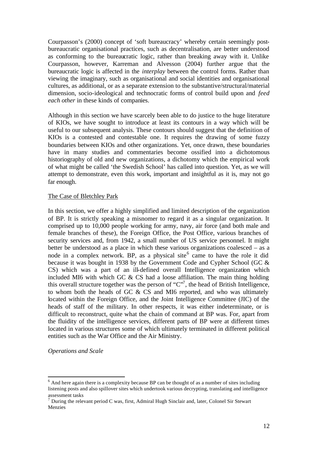Courpasson's (2000) concept of 'soft bureaucracy' whereby certain seemingly postbureaucratic organisational practices, such as decentralisation, are better understood as conforming to the bureaucratic logic, rather than breaking away with it. Unlike Courpasson, however, Karreman and Alvesson (2004) further argue that the bureaucratic logic is affected in the *interplay* between the control forms. Rather than viewing the imaginary, such as organisational and social identities and organisational cultures, as additional, or as a separate extension to the substantive/structural/material dimension, socio-ideological and technocratic forms of control build upon and *feed each other* in these kinds of companies.

Although in this section we have scarcely been able to do justice to the huge literature of KIOs, we have sought to introduce at least its contours in a way which will be useful to our subsequent analysis. These contours should suggest that the definition of KIOs is a contested and contestable one. It requires the drawing of some fuzzy boundaries between KIOs and other organizations. Yet, once drawn, these boundaries have in many studies and commentaries become ossified into a dichotomous historiography of old and new organizations, a dichotomy which the empirical work of what might be called 'the Swedish School' has called into question. Yet, as we will attempt to demonstrate, even this work, important and insightful as it is, may not go far enough.

## The Case of Bletchley Park

In this section, we offer a highly simplified and limited description of the organization of BP. It is strictly speaking a misnomer to regard it as a singular organization. It comprised up to 10,000 people working for army, navy, air force (and both male and female branches of these), the Foreign Office, the Post Office, various branches of security services and, from 1942, a small number of US service personnel. It might better be understood as a place in which these various organizations coalesced – as a node in a complex network. BP, as a physical site  $6$  came to have the role it did because it was bought in 1938 by the Government Code and Cypher School (GC & CS) which was a part of an ill-defined overall Intelligence organization which included MI6 with which GC & CS had a loose affiliation. The main thing holding this overall structure together was the person of " $C$ ", the head of British Intelligence, to whom both the heads of GC & CS and MI6 reported, and who was ultimately located within the Foreign Office, and the Joint Intelligence Committee (JIC) of the heads of staff of the military. In other respects, it was either indeterminate, or is difficult to reconstruct, quite what the chain of command at BP was. For, apart from the fluidity of the intelligence services, different parts of BP were at different times located in various structures some of which ultimately terminated in different political entities such as the War Office and the Air Ministry.

*Operations and Scale*

 $6$  And here again there is a complexity because BP can be thought of as a number of sites including listening posts and also spillover sites which undertook various decrypting, translating and intelligence assessment tasks

 $^7$  During the relevant period C was, first, Admiral Hugh Sinclair and, later, Colonel Sir Stewart Menzies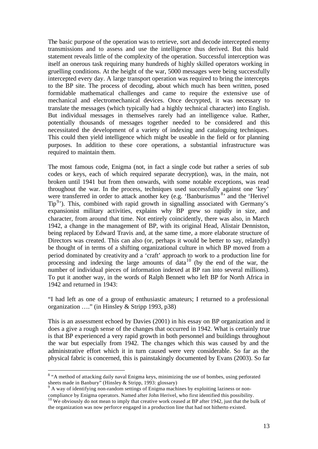The basic purpose of the operation was to retrieve, sort and decode intercepted enemy transmissions and to assess and use the intelligence thus derived. But this bald statement reveals little of the complexity of the operation. Successful interception was itself an onerous task requiring many hundreds of highly skilled operators working in gruelling conditions. At the height of the war, 5000 messages were being successfully intercepted every day. A large transport operation was required to bring the intercepts to the BP site. The process of decoding, about which much has been written, posed formidable mathematical challenges and came to require the extensive use of mechanical and electromechanical devices. Once decrypted, it was necessary to translate the messages (which typically had a highly technical character) into English. But individual messages in themselves rarely had an intelligence value. Rather, potentially thousands of messages together needed to be considered and this necessitated the development of a variety of indexing and cataloguing techniques. This could then yield intelligence which might be useable in the field or for planning purposes. In addition to these core operations, a substantial infrastructure was required to maintain them.

The most famous code, Enigma (not, in fact a single code but rather a series of sub codes or keys, each of which required separate decryption), was, in the main, not broken until 1941 but from then onwards, with some notable exceptions, was read throughout the war. In the process, techniques used successfully against one 'key' were transferred in order to attack another key (e.g. 'Banburismus<sup>8, and</sup> the 'Herivel Tip<sup>9</sup>'). This, combined with rapid growth in signalling associated with Germany's expansionist military activities, explains why BP grew so rapidly in size, and character, from around that time. Not entirely coincidently, there was also, in March 1942, a change in the management of BP, with its original Head, Alistair Denniston, being replaced by Edward Travis and, at the same time, a more elaborate structure of Directors was created. This can also (or, perhaps it would be better to say, relatedly) be thought of in terms of a shifting organizational culture in which BP moved from a period dominated by creativity and a 'craft' approach to work to a production line for processing and indexing the large amounts of data<sup>10</sup> (by the end of the war, the number of individual pieces of information indexed at BP ran into several millions). To put it another way, in the words of Ralph Bennett who left BP for North Africa in 1942 and returned in 1943:

"I had left as one of a group of enthusiastic amateurs; I returned to a professional organization …." (in Hinsley & Stripp 1993, p38)

This is an assessment echoed by Davies (2001) in his essay on BP organization and it does a give a rough sense of the changes that occurred in 1942. What is certainly true is that BP experienced a very rapid growth in both personnel and buildings throughout the war but especially from 1942. The changes which this was caused by and the administrative effort which it in turn caused were very considerable. So far as the physical fabric is concerned, this is painstakingly documented by Evans (2003). So far

<sup>&</sup>lt;sup>8</sup> "A method of attacking daily naval Enigma keys, minimizing the use of bombes, using perforated sheets made in Banbury" (Hinsley & Stripp, 1993: glossary)

<sup>&</sup>lt;sup>9</sup> A way of identifying non-random settings of Enigma machines by exploiting laziness or noncompliance by Enigma operators. Named after John Herivel, who first identified this possibility.

 $10$  We obviously do not mean to imply that creative work ceased at BP after 1942, just that the bulk of the organization was now perforce engaged in a production line that had not hitherto existed.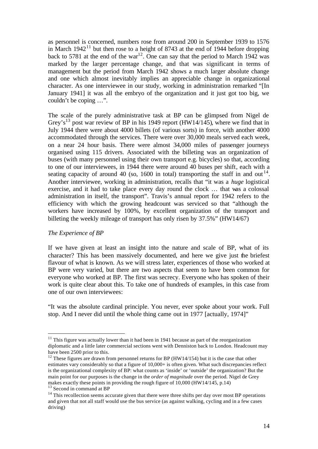as personnel is concerned, numbers rose from around 200 in September 1939 to 1576 in March  $1942<sup>11</sup>$  but then rose to a height of 8743 at the end of 1944 before dropping back to 5781 at the end of the war<sup>12</sup>. One can say that the period to March 1942 was marked by the larger percentage change, and that was significant in terms of management but the period from March 1942 shows a much larger absolute change and one which almost inevitably implies an appreciable change in organizational character. As one interviewee in our study, working in administration remarked "[In January 1941] it was all the embryo of the organization and it just got too big, we couldn't be coping …".

The scale of the purely administrative task at BP can be glimpsed from Nigel de Grey's<sup>13</sup> post war review of BP in his 1949 report (HW14/145), where we find that in July 1944 there were about 4000 billets (of various sorts) in force, with another 4000 accommodated through the services. There were over 30,000 meals served each week, on a near 24 hour basis. There were almost 34,000 miles of passenger journeys organised using 115 drivers. Associated with the billeting was an organization of buses (with many personnel using their own transport e.g. bicycles) so that, according to one of our interviewees, in 1944 there were around 40 buses per shift, each with a seating capacity of around 40 (so, 1600 in total) transporting the staff in and out  $14$ . Another interviewee, working in administration, recalls that "it was a *huge* logistical exercise, and it had to take place every day round the clock … that was a colossal administration in itself, the transport". Travis's annual report for 1942 refers to the efficiency with which the growing headcount was serviced so that "although the workers have increased by 100%, by excellent organization of the transport and billeting the weekly mileage of transport has only risen by 37.5%" (HW14/67)

#### *The Experience of BP*

l

If we have given at least an insight into the nature and scale of BP, what of its character? This has been massively documented, and here we give just the briefest flavour of what is known. As we will stress later, experiences of those who worked at BP were very varied, but there are two aspects that seem to have been common for everyone who worked at BP. The first was secrecy. Everyone who has spoken of their work is quite clear about this. To take one of hundreds of examples, in this case from one of our own interviewees:

"It was the absolute cardinal principle. You never, ever spoke about your work. Full stop. And I never did until the whole thing came out in 1977 [actually, 1974]"

 $11$ <sup>11</sup> This figure was actually lower than it had been in 1941 because as part of the reorganization diplomatic and a little later commercial sections went with Denniston back to London. Headcount may have been 2500 prior to this.

 $12$  These figures are drawn from personnel returns for BP (HW14/154) but it is the case that other estimates vary considerably so that a figure of 10,000+ is often given. What such discrepancies reflect is the organizational complexity of BP: what counts as 'inside' or 'outside' the organization? But the main point for our purposes is the change in the *order of magnitude* over the period. Nigel de Grey makes exactly these points in providing the rough figure of 10,000 (HW14/145, p.14) <sup>13</sup> Second in command at BP

<sup>&</sup>lt;sup>14</sup> This recollection seems accurate given that there were three shifts per day over most BP operations and given that not all staff would use the bus service (as against walking, cycling and in a few cases driving)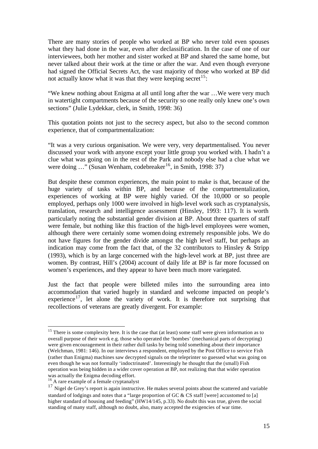There are many stories of people who worked at BP who never told even spouses what they had done in the war, even after declassification. In the case of one of our interviewees, both her mother and sister worked at BP and shared the same home, but never talked about their work at the time or after the war. And even though everyone had signed the Official Secrets Act, the vast majority of those who worked at BP did not actually know what it was that they were keeping secret<sup>15</sup>:

"We knew nothing about Enigma at all until long after the war …We were very much in watertight compartments because of the security so one really only knew one's own sections" (Julie Lydekkar, clerk, in Smith, 1998: 36)

This quotation points not just to the secrecy aspect, but also to the second common experience, that of compartmentalization:

"It was a very curious organisation. We were very, very departmentalised. You never discussed your work with anyone except your little group you worked with. I hadn't a clue what was going on in the rest of the Park and nobody else had a clue what we were doing  $\ldots$  (Susan Wenham, codebreaker<sup>16</sup>, in Smith, 1998: 37)

But despite these common experiences, the main point to make is that, because of the huge variety of tasks within BP, and because of the compartmentalization, experiences of working at BP were highly varied. Of the 10,000 or so people employed, perhaps only 1000 were involved in high-level work such as cryptanalysis, translation, research and intelligence assessment (Hinsley, 1993: 117). It is worth particularly noting the substantial gender division at BP. About three quarters of staff were female, but nothing like this fraction of the high-level employees were women, although there were certainly some women doing extremely responsible jobs. We do not have figures for the gender divide amongst the high level staff, but perhaps an indication may come from the fact that, of the  $32$  contributors to Hinsley  $\&$  Stripp (1993), which is by an large concerned with the high-level work at BP, just three are women. By contrast, Hill's (2004) account of daily life at BP is far more focussed on women's experiences, and they appear to have been much more variegated.

Just the fact that people were billeted miles into the surrounding area into accommodation that varied hugely in standard and welcome impacted on people's experience<sup>17</sup>, let alone the variety of work. It is therefore not surprising that recollections of veterans are greatly divergent. For example:

 $15$  There is some complexity here. It is the case that (at least) some staff were given information as to overall purpose of their work e.g. those who operated the 'bombes' (mechanical parts of decrypting) were given encouragement in their rather dull tasks by being told something about their importance (Welchman, 1981: 146). In our interviews a respondent, employed by the Post Office to service Fish (rather than Enigma) machines saw decrypted signals on the teleprinter so guessed what was going on even though he was not formally 'indoctrinated'. Interestingly he thought that the (small) Fish operation was being hidden in a wider cover operation at BP, not realizing that that wider operation was actually the Enigma decoding effort.

<sup>&</sup>lt;sup>16</sup> A rare example of a female cryptanalyst

<sup>&</sup>lt;sup>17</sup> Nigel de Grey's report is again instructive. He makes several points about the scattered and variable standard of lodgings and notes that a "large proportion of GC  $\&$  CS staff [were] accustomed to [a] higher standard of housing and feeding"  $(HW14/145, p.33)$ . No doubt this was true, given the social standing of many staff, although no doubt, also, many accepted the exigencies of war time.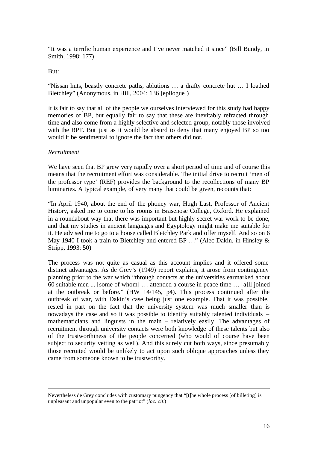"It was a terrific human experience and I've never matched it since" (Bill Bundy, in Smith, 1998: 177)

But:

"Nissan huts, beastly concrete paths, ablutions … a drafty concrete hut … I loathed Bletchley" (Anonymous, in Hill, 2004: 136 [epilogue])

It is fair to say that all of the people we ourselves interviewed for this study had happy memories of BP, but equally fair to say that these are inevitably refracted through time and also come from a highly selective and selected group, notably those involved with the BPT. But just as it would be absurd to deny that many enjoyed BP so too would it be sentimental to ignore the fact that others did not.

## *Recruitment*

l

We have seen that BP grew very rapidly over a short period of time and of course this means that the recruitment effort was considerable. The initial drive to recruit 'men of the professor type' (REF) provides the background to the recollections of many BP luminaries. A typical example, of very many that could be given, recounts that:

"In April 1940, about the end of the phoney war, Hugh Last, Professor of Ancient History, asked me to come to his rooms in Brasenose College, Oxford. He explained in a roundabout way that there was important but highly secret war work to be done, and that my studies in ancient languages and Egyptology might make me suitable for it. He advised me to go to a house called Bletchley Park and offer myself. And so on 6 May 1940 I took a train to Bletchley and entered BP ..." (Alec Dakin, in Hinsley & Stripp, 1993: 50)

The process was not quite as casual as this account implies and it offered some distinct advantages. As de Grey's (1949) report explains, it arose from contingency planning prior to the war which "through contacts at the universities earmarked about 60 suitable men ... [some of whom] … attended a course in peace time … [a]ll joined at the outbreak or before." (HW 14/145, p4). This process continued after the outbreak of war, with Dakin's case being just one example. That it was possible, rested in part on the fact that the university system was much smaller than is nowadays the case and so it was possible to identify suitably talented individuals – mathematicians and linguists in the main – relatively easily. The advantages of recruitment through university contacts were both knowledge of these talents but also of the trustworthiness of the people concerned (who would of course have been subject to security vetting as well). And this surely cut both ways, since presumably those recruited would be unlikely to act upon such oblique approaches unless they came from someone known to be trustworthy.

Nevertheless de Grey concludes with customary pungency that "[t]he whole process [of billeting] is unpleasant and unpopular even to the patriot" (*loc. cit.*)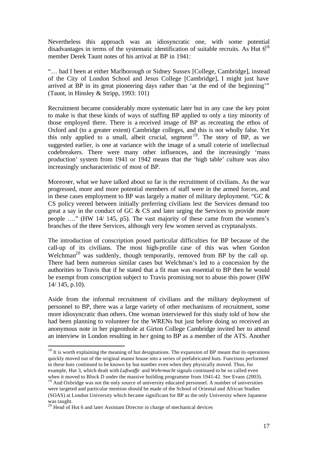Nevertheless this approach was an idiosyncratic one, with some potential disadvantages in terms of the systematic identification of suitable recruits. As Hut  $6^{18}$ member Derek Taunt notes of his arrival at BP in 1941:

"… had I been at either Marlborough or Sidney Sussex [College, Cambridge], instead of the City of London School and Jesus College [Cambridge], I might just have arrived at BP in its great pioneering days rather than 'at the end of the beginning'" (Taunt, in Hinsley & Stripp, 1993: 101)

Recruitment became considerably more systematic later but in any case the key point to make is that these kinds of ways of staffing BP applied to only a tiny minority of those employed there. There is a received image of BP as recreating the ethos of Oxford and (to a greater extent) Cambridge colleges, and this is not wholly false. Yet this only applied to a small, albeit crucial, segment  $19$ . The story of BP, as we suggested earlier, is one at variance with the image of a small coterie of intellectual codebreakers. There were many other influences, and the increasingly 'mass production' system from 1941 or 1942 means that the 'high table' culture was also increasingly uncharacteristic of most of BP.

Moreover, what we have talked about so far is the recruitment of civilians. As the war progressed, more and more potential members of staff were in the armed forces, and in these cases employment to BP was largely a matter of military deployment. "GC & CS policy veered between initially preferring civilians lest the Services demand too great a say in the conduct of GC & CS and later urging the Services to provide more people …." (HW 14/ 145, p5). The vast majority of these came from the women's branches of the three Services, although very few women served as cryptanalysts.

The introduction of conscription posed particular difficulties for BP because of the call-up of its civilians. The most high-profile case of this was when Gordon Welchman<sup>20</sup> was suddenly, though temporarily, removed from BP by the call up. There had been numerous similar cases but Welchman's led to a concession by the authorities to Travis that if he stated that a fit man was essential to BP then he would be exempt from conscription subject to Travis promising not to abuse this power (HW 14/ 145, p.10).

Aside from the informal recruitment of civilians and the military deployment of personnel to BP, there was a large variety of other mechanisms of recruitment, some more idiosyncratic than others. One woman interviewed for this study told of how she had been planning to volunteer for the WRENs but just before doing so received an anonymous note in her pigeonhole at Girton College Cambridge invited her to attend an interview in London resulting in her going to BP as a member of the ATS. Another

 $18$  It is worth explaining the meaning of hut designations. The expansion of BP meant that its operations quickly moved out of the original manor house into a series of prefabricated huts. Functions performed in these huts continued to be known by hut number even when they physically moved. Thus, for example, Hut 3, which dealt with *Luftwaffe* and *Wehrmacht* signals continued to be so called even when it moved to Block D under the massive building programme from 1941-42. See Evans (2003).

<sup>&</sup>lt;sup>19</sup> And Oxbridge was not the only source of university educated personnel. A number of universities were targeted and particular mention should be made of the School of Oriental and African Studies (SOAS) at London University which became significant for BP as the only University where Japanese was taught.

<sup>&</sup>lt;sup>20</sup> Head of Hut 6 and later Assistant Director in charge of mechanical devices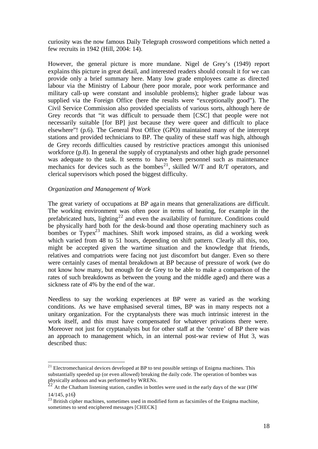curiosity was the now famous Daily Telegraph crossword competitions which netted a few recruits in 1942 (Hill, 2004: 14).

However, the general picture is more mundane. Nigel de Grey's (1949) report explains this picture in great detail, and interested readers should consult it for we can provide only a brief summary here. Many low grade employees came as directed labour via the Ministry of Labour (here poor morale, poor work performance and military call-up were constant and insoluble problems); higher grade labour was supplied via the Foreign Office (here the results were "exceptionally good"). The Civil Service Commission also provided specialists of various sorts, although here de Grey records that "it was difficult to persuade them [CSC] that people were not necessarily suitable [for BP] just because they were queer and difficult to place elsewhere"! (p.6). The General Post Office (GPO) maintained many of the intercept stations and provided technicians to BP. The quality of these staff was high, although de Grey records difficulties caused by restrictive practices amongst this unionised workforce (p.8). In general the supply of cryptanalysts and other high grade personnel was adequate to the task. It seems to have been personnel such as maintenance mechanics for devices such as the bombes<sup>21</sup>, skilled W/T and R/T operators, and clerical supervisors which posed the biggest difficulty.

## *Organization and Management of Work*

l

The great variety of occupations at BP again means that generalizations are difficult. The working environment was often poor in terms of heating, for example in the prefabricated huts, lighting<sup>22</sup> and even the availability of furniture. Conditions could be physically hard both for the desk-bound and those operating machinery such as bombes or  $Typex^{23}$  machines. Shift work imposed strains, as did a working week which varied from 48 to 51 hours, depending on shift pattern. Clearly all this, too, might be accepted given the wartime situation and the knowledge that friends, relatives and compatriots were facing not just discomfort but danger. Even so there were certainly cases of mental breakdown at BP because of pressure of work (we do not know how many, but enough for de Grey to be able to make a comparison of the rates of such breakdowns as between the young and the middle aged) and there was a sickness rate of 4% by the end of the war.

Needless to say the working experiences at BP were as varied as the working conditions. As we have emphasised several times, BP was in many respects not a unitary organization. For the cryptanalysts there was much intrinsic interest in the work itself, and this must have compensated for whatever privations there were. Moreover not just for cryptanalysts but for other staff at the 'centre' of BP there was an approach to management which, in an internal post-war review of Hut 3, was described thus:

 $21$  Electromechanical devices developed at BP to test possible settings of Enigma machines. This substantially speeded up (or even allowed) breaking the daily code. The operation of bombes was physically arduous and was performed by WRENs.

 $22^{22}$  At the Chatham listening station, candles in bottles were used in the early days of the war (HW) 14/145, p16)

<sup>&</sup>lt;sup>23</sup> British cipher machines, sometimes used in modified form as facsimiles of the Enigma machine, sometimes to send enciphered messages [CHECK]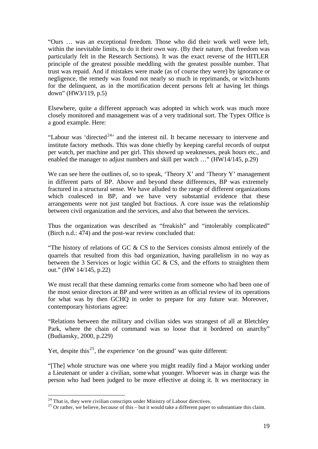"Ours … was an exceptional freedom. Those who did their work well were left, within the inevitable limits, to do it their own way. (By their nature, that freedom was particularly felt in the Research Sections). It was the exact reverse of the HITLER principle of the greatest possible meddling with the greatest possible number. That trust was repaid. And if mistakes were made (as of course they were) by ignorance or negligence, the remedy was found not nearly so much in reprimands, or witch-hunts for the delinquent, as in the mortification decent persons felt at having let things down" (HW3/119, p.5)

Elsewhere, quite a different approach was adopted in which work was much more closely monitored and management was of a very traditional sort. The Typex Office is a good example. Here:

"Labour was 'directed<sup>24</sup>' and the interest nil. It became necessary to intervene and institute factory methods. This was done chiefly by keeping careful records of output per watch, per machine and per girl. This showed up weaknesses, peak hours etc., and enabled the manager to adjust numbers and skill per watch …" (HW14/145, p.29)

We can see here the outlines of, so to speak, 'Theory X' and 'Theory Y' management in different parts of BP. Above and beyond these differences, BP was extremely fractured in a structural sense. We have alluded to the range of different organizations which coalesced in BP, and we have very substantial evidence that these arrangements were not just tangled but fractious. A core issue was the relationship between civil organization and the services, and also that between the services.

Thus the organization was described as "freakish" and "intolerably complicated" (Birch n.d.: 474) and the post-war review concluded that:

"The history of relations of GC  $\&$  CS to the Services consists almost entirely of the quarrels that resulted from this bad organization, having parallelism in no way as between the 3 Services or logic within GC & CS, and the efforts to straighten them out." (HW 14/145, p.22)

We must recall that these damning remarks come from someone who had been one of the most senior directors at BP and were written as an official review of its operations for what was by then GCHQ in order to prepare for any future war. Moreover, contemporary historians agree:

"Relations between the military and civilian sides was strangest of all at Bletchley Park, where the chain of command was so loose that it bordered on anarchy" (Budiansky, 2000, p.229)

Yet, despite this<sup>25</sup>, the experience 'on the ground' was quite different:

"[The] whole structure was one where you might readily find a Major working under a Lieutenant or under a civilian, somewhat younger. Whoever was in charge was the person who had been judged to be more effective at doing it. It ws meritocracy in

 $24$  That is, they were civilian conscripts under Ministry of Labour directives.

<sup>&</sup>lt;sup>25</sup> Or rather, we believe, *because* of this – but it would take a different paper to substantiate this claim.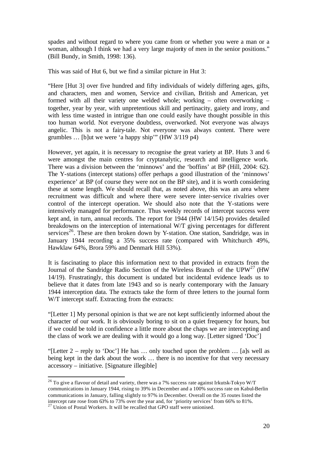spades and without regard to where you came from or whether you were a man or a woman, although I think we had a very large majority of men in the senior positions." (Bill Bundy, in Smith, 1998: 136).

This was said of Hut 6, but we find a similar picture in Hut 3:

"Here [Hut 3] over five hundred and fifty individuals of widely differing ages, gifts, and characters, men and women, Service and civilian, British and American, yet formed with all their variety one welded whole; working – often overworking – together, year by year, with unpretentious skill and pertinacity, gaiety and irony, and with less time wasted in intrigue than one could easily have thought possible in this too human world. Not everyone doubtless, overworked. Not everyone was always angelic. This is not a fairy-tale. Not everyone was always content. There were grumbles … [b]ut we were 'a happy ship'" (HW 3/119 p4)

However, yet again, it is necessary to recognise the great variety at BP. Huts 3 and 6 were amongst the main centres for cryptanalytic, research and intelligence work. There was a division between the 'minnows' and the 'boffins' at BP (Hill, 2004: 62). The Y-stations (intercept stations) offer perhaps a good illustration of the 'minnows' experience' at BP (of course they were not on the BP site), and it is worth considering these at some length. We should recall that, as noted above, this was an area where recruitment was difficult and where there were severe inter-service rivalries over control of the intercept operation. We should also note that the Y-stations were intensively managed for performance. Thus weekly records of intercept success were kept and, in turn, annual records. The report for 1944 (HW 14/154) provides detailed breakdowns on the interception of international W/T giving percentages for different services<sup>26</sup>. These are then broken down by Y-station. One station, Sandridge, was in January 1944 recording a 35% success rate (compared with Whitchurch 49%, Hawklaw 64%, Brora 59% and Denmark Hill 53%).

It is fascinating to place this information next to that provided in extracts from the Journal of the Sandridge Radio Section of the Wireless Branch of the  $UPW^{27}$  (HW 14/19). Frustratingly, this document is undated but incidental evidence leads us to believe that it dates from late 1943 and so is nearly contemporary with the January 1944 interception data. The extracts take the form of three letters to the journal form W/T intercept staff. Extracting from the extracts:

"[Letter 1] My personal opinion is that we are not kept sufficiently informed about the character of our work. It is obviously boring to sit on a quiet frequency for hours, but if we could be told in confidence a little more about the chaps we are intercepting and the class of work we are dealing with it would go a long way. [Letter signed 'Doc']

"[Letter  $2$  – reply to 'Doc'] He has ... only touched upon the problem ... [a]s well as being kept in the dark about the work … there is no incentive for that very necessary accessory – initiative. [Signature illegible]

<sup>&</sup>lt;sup>26</sup> To give a flavour of detail and variety, there was a 7% success rate against Irkutsk-Tokyo W/T communications in January 1944, rising to 39% in December and a 100% success rate on Kabul-Berlin communications in January, falling slightly to 97% in December. Overall on the 35 routes listed the intercept rate rose from 63% to 73% over the year and, for 'priority services' from 66% to 81%.

 $27$  Union of Postal Workers. It will be recalled that GPO staff were unionised.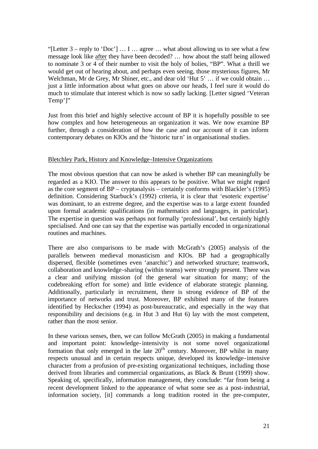"[Letter  $3$  – reply to 'Doc']  $\dots$  I  $\dots$  agree  $\dots$  what about allowing us to see what a few message look like after they have been decoded? … how about the staff being allowed to nominate 3 or 4 of their number to visit the holy of holies, "BP". What a thrill we would get out of hearing about, and perhaps even seeing, those mysterious figures, Mr Welchman, Mr de Grey, Mr Shiner, etc., and dear old 'Hut 5' ... if we could obtain ... just a little information about what goes on above our heads, I feel sure it would do much to stimulate that interest which is now so sadly lacking. [Letter signed 'Veteran Temp']"

Just from this brief and highly selective account of BP it is hopefully possible to see how complex and how heterogeneous an organization it was. We now examine BP further, through a consideration of how the case and our account of it can inform contemporary debates on KIOs and the 'historic turn' in organisational studies.

## Bletchley Park, History and Knowledge-Intensive Organizations

The most obvious question that can now be asked is whether BP can meaningfully be regarded as a KIO. The answer to this appears to be positive. What we might regard as the core segment of BP – cryptanalysis – certainly conforms with Blackler's (1995) definition. Considering Starbuck's (1992) criteria, it is clear that 'esoteric expertise' was dominant, to an extreme degree, and the expertise was to a large extent founded upon formal academic qualifications (in mathematics and languages, in particular). The expertise in question was perhaps not formally 'professional', but certainly highly specialised. And one can say that the expertise was partially encoded in organizational routines and machines.

There are also comparisons to be made with McGrath's (2005) analysis of the parallels between medieval monasticism and KIOs. BP had a geographically dispersed, flexible (sometimes even 'anarchic') and networked structure; teamwork, collaboration and knowledge-sharing (within teams) were strongly present. There was a clear and unifying mission (of the general war situation for many; of the codebreaking effort for some) and little evidence of elaborate strategic planning. Additionally, particularly in recruitment, there is strong evidence of BP of the importance of networks and trust. Moreover, BP exhibited many of the features identified by Heckscher (1994) as post-bureaucratic, and especially in the way that responsibility and decisions (e.g. in Hut 3 and Hut 6) lay with the most competent, rather than the most senior.

In these various senses, then, we can follow McGrath (2005) in making a fundamental and important point: knowledge-intensivity is not some novel organizational formation that only emerged in the late  $20<sup>th</sup>$  century. Moreover, BP whilst in many respects unusual and in certain respects unique, developed its knowledge-intensive character from a profusion of pre-existing organizational techniques, including those derived from libraries and commercial organizations, as Black & Brunt (1999) show. Speaking of, specifically, information management, they conclude: "far from being a recent development linked to the appearance of what some see as a post-industrial, information society, [it] commands a long tradition rooted in the pre-computer,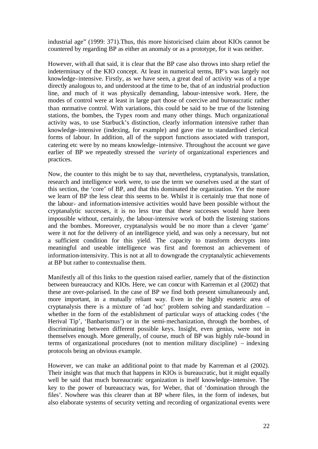industrial age" (1999: 371).Thus, this more historicised claim about KIOs cannot be countered by regarding BP as either an anomaly or as a prototype, for it was neither.

However, with all that said, it is clear that the BP case also throws into sharp relief the indeterminacy of the KIO concept. At least in numerical terms, BP's was largely not knowledge-intensive. Firstly, as we have seen, a great deal of activity was of a type directly analogous to, and understood at the time to be, that of an industrial production line, and much of it was physically demanding, labour-intensive work. Here, the modes of control were at least in large part those of coercive and bureaucratic rather than normative control. With variations, this could be said to be true of the listening stations, the bombes, the Typex room and many other things. Much organizational activity was, to use Starbuck's distinction, clearly information intensive rather than knowledge-intensive (indexing, for example) and gave rise to standardised clerical forms of labour. In addition, all of the support functions associated with transport, catering etc were by no means knowledge-intensive. Throughout the account we gave earlier of BP we repeatedly stressed the *variety* of organizational experiences and practices.

Now, the counter to this might be to say that, nevertheless, cryptanalysis, translation, research and intelligence work were, to use the term we ourselves used at the start of this section, the 'core' of BP, and that this dominated the organization. Yet the more we learn of BP the less clear this seems to be. Whilst it is certainly true that none of the labour- and information-intensive activities would have been possible without the cryptanalytic successes, it is no less true that these successes would have been impossible without, certainly, the labour-intensive work of both the listening stations and the bombes. Moreover, cryptanalysis would be no more than a clever 'game' were it not for the delivery of an intelligence yield, and was only a necessary, but not a sufficient condition for this yield. The capacity to transform decrypts into meaningful and useable intelligence was first and foremost an achievement of information-intensivity. This is not at all to downgrade the cryptanalytic achievements at BP but rather to contextualise them.

Manifestly all of this links to the question raised earlier, namely that of the distinction between bureaucracy and KIOs. Here, we can concur with Karreman et al (2002) that these are over-polarised. In the case of BP we find both present simultaneously and, more important, in a mutually reliant way. Even in the highly esoteric area of cryptanalysis there is a mixture of 'ad hoc' problem solving and standardization – whether in the form of the establishment of particular ways of attacking codes ('the Herival Tip', 'Banbarismus') or in the semi-mechanization, through the bombes, of discriminating between different possible keys. Insight, even genius, were not in themselves enough. More generally, of course, much of BP was highly rule-bound in terms of organizational procedures (not to mention military discipline) – indexing protocols being an obvious example.

However, we can make an additional point to that made by Karreman et al (2002). Their insight was that much that happens in KIOs is bureaucratic, but it might equally well be said that much bureaucratic organization is itself knowledge-intensive. The key to the power of bureaucracy was, for Weber, that of 'domination through the files'. Nowhere was this clearer than at BP where files, in the form of indexes, but also elaborate systems of security vetting and recording of organizational events were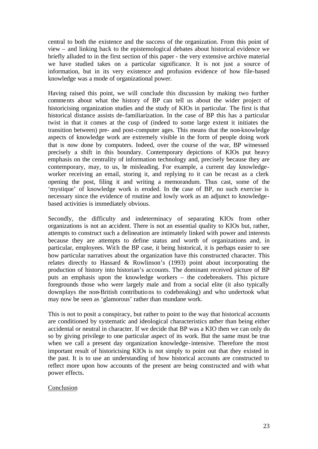central to both the existence and the success of the organization. From this point of view – and linking back to the epistemological debates about historical evidence we briefly alluded to in the first section of this paper - the very extensive archive material we have studied takes on a particular significance. It is not just a source of information, but in its very existence and profusion evidence of how file-based knowledge was a mode of organizational power.

Having raised this point, we will conclude this discussion by making two further comments about what the history of BP can tell us about the wider project of historicising organization studies and the study of KIOs in particular. The first is that historical distance assists de-familiarization. In the case of BP this has a particular twist in that it comes at the cusp of (indeed to some large extent it initiates the transition between) pre- and post-computer ages. This means that the non-knowledge aspects of knowledge work are extremely visible in the form of people doing work that is now done by computers. Indeed, over the course of the war, BP witnessed precisely a shift in this boundary. Contemporary depictions of KIOs put heavy emphasis on the centrality of information technology and, precisely because they are contemporary, may, to us, be misleading. For example, a current day knowledgeworker receiving an email, storing it, and replying to it can be recast as a clerk opening the post, filing it and writing a memorandum. Thus cast, some of the 'mystique' of knowledge work is eroded. In the case of BP, no such exercise is necessary since the evidence of routine and lowly work as an adjunct to knowledgebased activities is immediately obvious.

Secondly, the difficulty and indeterminacy of separating KIOs from other organizations is not an accident. There is not an essential quality to KIOs but, rather, attempts to construct such a delineation are intimately linked with power and interests because they are attempts to define status and worth of organizations and, in particular, employees. With the BP case, it being historical, it is perhaps easier to see how particular narratives about the organization have this constructed character. This relates directly to Hassard & Rowlinson's (1993) point about incorporating the production of history into historian's accounts. The dominant received picture of BP puts an emphasis upon the knowledge workers – the codebreakers. This picture foregrounds those who were largely male and from a social elite (it also typically downplays the non-British contributions to codebreaking) and who undertook what may now be seen as 'glamorous' rather than mundane work.

This is not to posit a conspiracy, but rather to point to the way that historical accounts are conditioned by systematic and ideological characteristics rather than being either accidental or neutral in character. If we decide that BP was a KIO then we can only do so by giving privilege to one particular aspect of its work. But the same must be true when we call a present day organization knowledge-intensive. Therefore the most important result of historicising KIOs is not simply to point out that they existed in the past. It is to use an understanding of how historical accounts are constructed to reflect more upon how accounts of the present are being constructed and with what power effects.

## Conclusion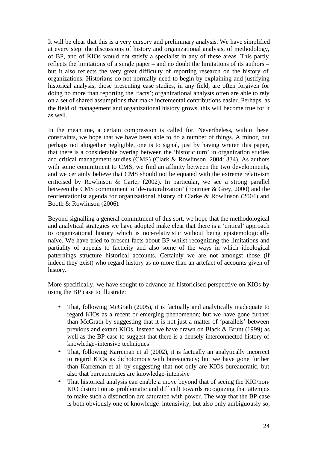It will be clear that this is a very cursory and preliminary analysis. We have simplified at every step: the discussions of history and organizational analysis, of methodology, of BP, and of KIOs would not satisfy a specialist in any of these areas. This partly reflects the limitations of a single paper – and no doubt the limitations of its authors – but it also reflects the very great difficulty of reporting research on the history of organizations. Historians do not normally need to begin by explaining and justifying historical analysis; those presenting case studies, in any field, are often forgiven for doing no more than reporting the 'facts'; organizational analysts often are able to rely on a set of shared assumptions that make incremental contributions easier. Perhaps, as the field of management and organizational history grows, this will become true for it as well.

In the meantime, a certain compression is called for. Nevertheless, within these constraints, we hope that we have been able to do a number of things. A minor, but perhaps not altogether negligible, one is to signal, just by having written this paper, that there is a considerable overlap between the 'historic turn' in organization studies and critical management studies (CMS) (Clark & Rowlinson, 2004: 334). As authors with some commitment to CMS, we find an affinity between the two developments, and we certainly believe that CMS should not be equated with the extreme relativism criticised by Rowlinson & Carter (2002). In particular, we see a strong parallel between the CMS commitment to 'de-naturalization' (Fournier & Grey, 2000) and the reorientationist agenda for organizational history of Clarke & Rowlinson (2004) and Booth & Rowlinson (2006).

Beyond signalling a general commitment of this sort, we hope that the methodological and analytical strategies we have adopted make clear that there is a 'critical' approach to organizational history which is non-relativistic without being epistemologically naïve. We have tried to present facts about BP whilst recognizing the limitations and partiality of appeals to facticity and also some of the ways in which ideological patternings structure historical accounts. Certainly we are not amongst those (if indeed they exist) who regard history as no more than an artefact of accounts given of history.

More specifically, we have sought to advance an historicised perspective on KIOs by using the BP case to illustrate:

- That, following McGrath (2005), it is factually and analytically inadequate to regard KIOs as a recent or emerging phenomenon; but we have gone further than McGrath by suggesting that it is not just a matter of 'parallels' between previous and extant KIOs. Instead we have drawn on Black & Brunt (1999) as well as the BP case to suggest that there is a densely interconnected history of knowledge-intensive techniques
- That, following Karreman et al (2002), it is factually an analytically incorrect to regard KIOs as dichotomous with bureaucracy; but we have gone further than Karreman et al. by suggesting that not only are KIOs bureaucratic, but also that bureaucracies are knowledge-intensive
- That historical analysis can enable a move beyond that of seeing the KIO/non-KIO distinction as problematic and difficult towards recognizing that attempts to make such a distinction are saturated with power. The way that the BP case is both obviously one of knowledge-intensivity, but also only ambiguously so,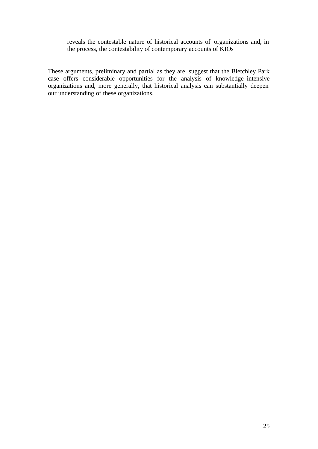reveals the contestable nature of historical accounts of organizations and, in the process, the contestability of contemporary accounts of KIOs

These arguments, preliminary and partial as they are, suggest that the Bletchley Park case offers considerable opportunities for the analysis of knowledge-intensive organizations and, more generally, that historical analysis can substantially deepen our understanding of these organizations.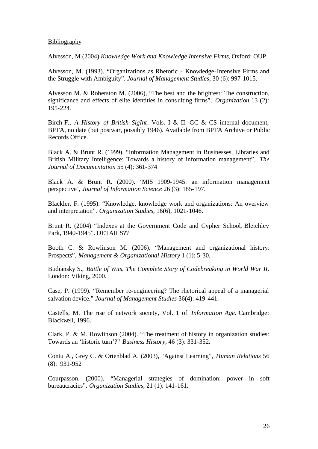#### Bibliography

Alvesson, M (2004) *Knowledge Work and Knowledge Intensive Firms*, Oxford: OUP.

Alvesson, M. (1993). "Organizations as Rhetoric - Knowledge-Intensive Firms and the Struggle with Ambiguity". *Journal of Management Studies*, 30 (6): 997-1015.

Alvesson M. & Roberston M. (2006), "The best and the brightest: The construction, significance and effects of elite identities in consulting firms", *Organization* 13 (2): 195-224.

Birch F., *A History of British SigInt*. Vols. I & II. GC & CS internal document, BPTA, no date (but postwar, possibly 1946). Available from BPTA Archive or Public Records Office.

Black A. & Brunt R. (1999). "Information Management in Businesses, Libraries and British Military Intelligence: Towards a history of information management", *The Journal of Documentation* 55 (4): 361-374

Black A. & Brunt R. (2000). 'MI5 1909-1945: an information management perspective', *Journal of Information Science* 26 (3): 185-197.

Blackler, F. (1995). "Knowledge, knowledge work and organizations: An overview and interpretation". *Organization Studies,* 16(6), 1021-1046.

Brunt R. (2004) "Indexes at the Government Code and Cypher School, Bletchley Park, 1940-1945". DETAILS??

Booth C. & Rowlinson M. (2006). "Management and organizational history: Prospects", *Management & Organizational History* 1 (1): 5-30.

Budiansky S., *Battle of Wits. The Complete Story of Codebreaking in World War II.* London: Viking, 2000.

Case, P. (1999). "Remember re-engineering? The rhetorical appeal of a managerial salvation device." *Journal of Management Studies* 36(4): 419-441.

Castells, M. The rise of network society, Vol. 1 of *Information Age*. Cambridge: Blackwell, 1996.

Clark, P. & M. Rowlinson (2004). "The treatment of history in organization studies: Towards an 'historic turn'?" *Business History*, 46 (3): 331-352.

Contu A., Grey C. & Ortenblad A. (2003), "Against Learning", *Human Relations* 56 (8): 931-952

Courpasson. (2000). "Managerial strategies of domination: power in soft bureaucracies". *Organization Studies,* 21 (1): 141-161.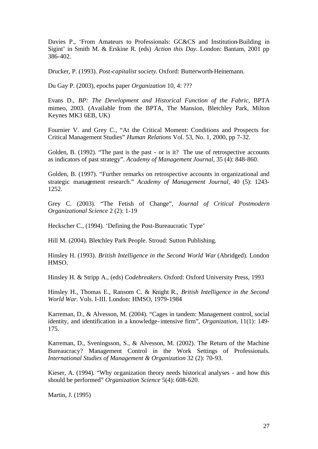Davies P., 'From Amateurs to Professionals: GC&CS and Institution-Building in Sigint' in Smith M. & Erskine R. (eds) *Action this Day*. London: Bantam, 2001 pp 386-402.

Drucker, P. (1993). *Post-capitalist society*. Oxford: Butterworth-Heinemann.

Du Gay P. (2003), epochs paper *Organization* 10, 4: ???

Evans D., *BP: The Development and Historical Function of the Fabric*, BPTA mimeo, 2003. (Available from the BPTA, The Mansion, Bletchley Park, Milton Keynes MK3 6EB, UK)

Fournier V. and Grey C., "At the Critical Moment: Conditions and Prospects for Critical Management Studies" *Human Relations* Vol. 53, No. 1, 2000, pp 7-32.

Golden, B. (1992). "The past is the past - or is it? The use of retrospective accounts as indicators of past strategy". *Academy of Management Journal*, 35 (4): 848-860.

Golden, B. (1997). "Further remarks on retrospective accounts in organizational and strategic management research." *Academy of Management Journal,* 40 (5): 1243- 1252.

Grey C. (2003). "The Fetish of Change", *Journal of Critical Postmodern Organizational Science* 2 (2): 1-19

Heckscher C., (1994). 'Defining the Post-Bureaucratic Type'

Hill M. (2004). Bletchley Park People. Stroud: Sutton Publishing.

Hinsley H. (1993). *British Intelligence in the Second World War* (Abridged). London HMSO.

Hinsley H. & Stripp A., (eds) *Codebreakers*. Oxford: Oxford University Press, 1993

Hinsley H., Thomas E., Ransom C. & Knight R., *British Intelligence in the Second World War.* Vols. I-III. London: HMSO, 1979-1984

Karreman, D., & Alvesson, M. (2004). "Cages in tandem: Management control, social identity, and identification in a knowledge-intensive firm", *Organization,* 11(1): 149- 175.

Karreman, D., Sveningsson, S., & Alvesson, M. (2002). The Return of the Machine Bureaucracy? Management Control in the Work Settings of Professionals. *International Studies of Management & Organization* 32 (2): 70-93.

Kieser, A. (1994). "Why organization theory needs historical analyses - and how this should be performed" *Organization Science* 5(4): 608-620.

Martin, J. (1995)